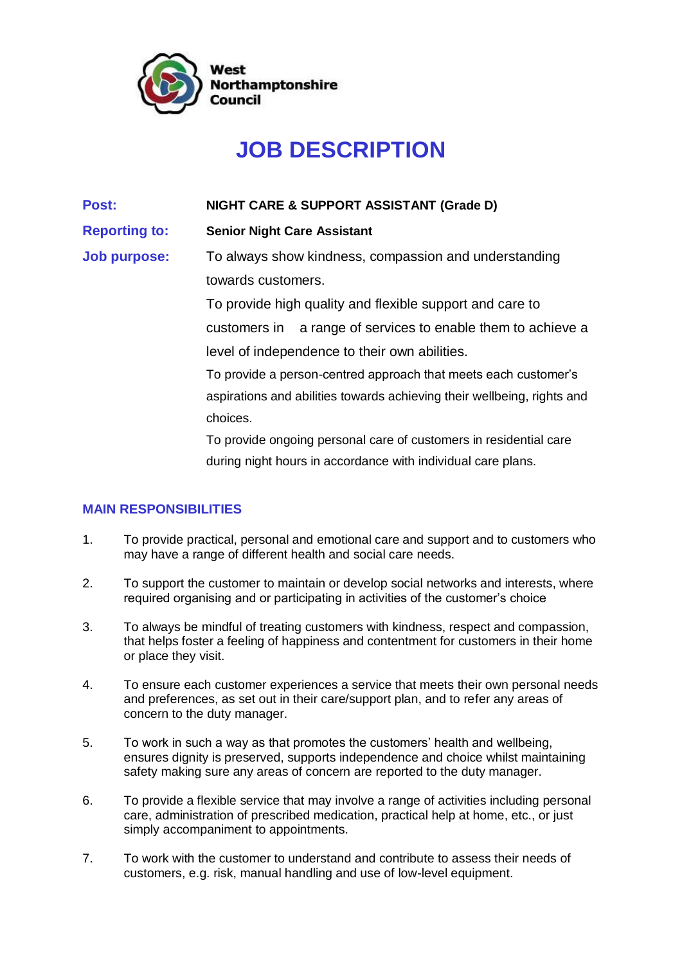

## **JOB DESCRIPTION**

**Post: NIGHT CARE & SUPPORT ASSISTANT (Grade D)**

**Reporting to: Senior Night Care Assistant** 

**Job purpose:** To always show kindness, compassion and understanding towards customers.

> To provide high quality and flexible support and care to customers in a range of services to enable them to achieve a level of independence to their own abilities.

> To provide a person-centred approach that meets each customer's aspirations and abilities towards achieving their wellbeing, rights and choices.

To provide ongoing personal care of customers in residential care during night hours in accordance with individual care plans.

## **MAIN RESPONSIBILITIES**

- 1. To provide practical, personal and emotional care and support and to customers who may have a range of different health and social care needs.
- 2. To support the customer to maintain or develop social networks and interests, where required organising and or participating in activities of the customer's choice
- 3. To always be mindful of treating customers with kindness, respect and compassion, that helps foster a feeling of happiness and contentment for customers in their home or place they visit.
- 4. To ensure each customer experiences a service that meets their own personal needs and preferences, as set out in their care/support plan, and to refer any areas of concern to the duty manager.
- 5. To work in such a way as that promotes the customers' health and wellbeing, ensures dignity is preserved, supports independence and choice whilst maintaining safety making sure any areas of concern are reported to the duty manager.
- 6. To provide a flexible service that may involve a range of activities including personal care, administration of prescribed medication, practical help at home, etc., or just simply accompaniment to appointments.
- 7. To work with the customer to understand and contribute to assess their needs of customers, e.g. risk, manual handling and use of low-level equipment.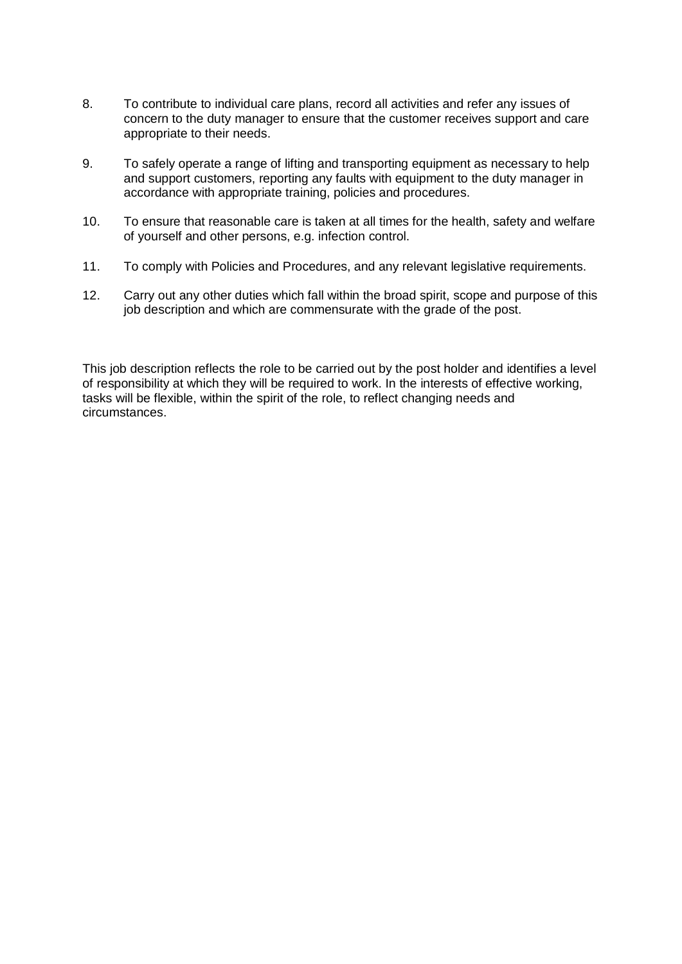- 8. To contribute to individual care plans, record all activities and refer any issues of concern to the duty manager to ensure that the customer receives support and care appropriate to their needs.
- 9. To safely operate a range of lifting and transporting equipment as necessary to help and support customers, reporting any faults with equipment to the duty manager in accordance with appropriate training, policies and procedures.
- 10. To ensure that reasonable care is taken at all times for the health, safety and welfare of yourself and other persons, e.g. infection control.
- 11. To comply with Policies and Procedures, and any relevant legislative requirements.
- 12. Carry out any other duties which fall within the broad spirit, scope and purpose of this job description and which are commensurate with the grade of the post.

This job description reflects the role to be carried out by the post holder and identifies a level of responsibility at which they will be required to work. In the interests of effective working, tasks will be flexible, within the spirit of the role, to reflect changing needs and circumstances.